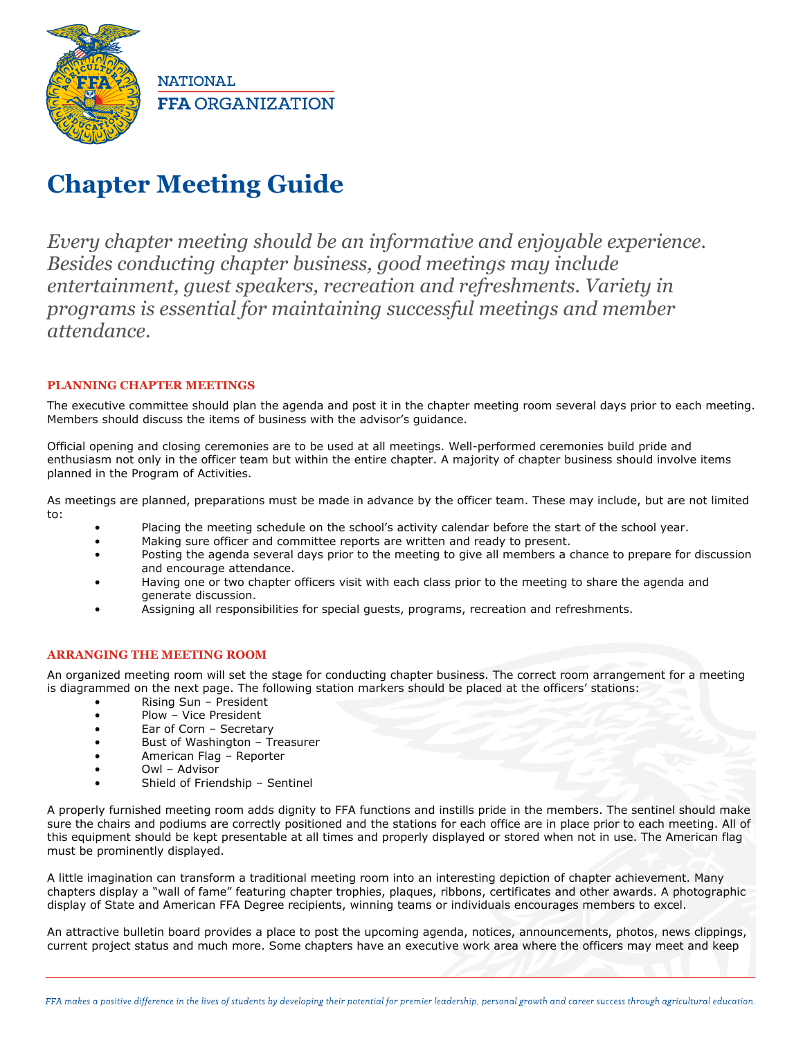

# **Chapter Meeting Guide**

*Every chapter meeting should be an informative and enjoyable experience. Besides conducting chapter business, good meetings may include entertainment, guest speakers, recreation and refreshments. Variety in programs is essential for maintaining successful meetings and member attendance.*

# **PLANNING CHAPTER MEETINGS**

The executive committee should plan the agenda and post it in the chapter meeting room several days prior to each meeting. Members should discuss the items of business with the advisor's guidance.

Official opening and closing ceremonies are to be used at all meetings. Well-performed ceremonies build pride and enthusiasm not only in the officer team but within the entire chapter. A majority of chapter business should involve items planned in the Program of Activities.

As meetings are planned, preparations must be made in advance by the officer team. These may include, but are not limited to:

- Placing the meeting schedule on the school's activity calendar before the start of the school year.
- Making sure officer and committee reports are written and ready to present.
- Posting the agenda several days prior to the meeting to give all members a chance to prepare for discussion and encourage attendance.
- Having one or two chapter officers visit with each class prior to the meeting to share the agenda and generate discussion.
- Assigning all responsibilities for special guests, programs, recreation and refreshments.

# **ARRANGING THE MEETING ROOM**

An organized meeting room will set the stage for conducting chapter business. The correct room arrangement for a meeting is diagrammed on the next page. The following station markers should be placed at the officers' stations:

- Rising Sun President
- Plow Vice President
- Ear of Corn Secretary
- Bust of Washington Treasurer
- American Flag Reporter
- Owl Advisor
- Shield of Friendship Sentinel

A properly furnished meeting room adds dignity to FFA functions and instills pride in the members. The sentinel should make sure the chairs and podiums are correctly positioned and the stations for each office are in place prior to each meeting. All of this equipment should be kept presentable at all times and properly displayed or stored when not in use. The American flag must be prominently displayed.

A little imagination can transform a traditional meeting room into an interesting depiction of chapter achievement. Many chapters display a "wall of fame" featuring chapter trophies, plaques, ribbons, certificates and other awards. A photographic display of State and American FFA Degree recipients, winning teams or individuals encourages members to excel.

An attractive bulletin board provides a place to post the upcoming agenda, notices, announcements, photos, news clippings, current project status and much more. Some chapters have an executive work area where the officers may meet and keep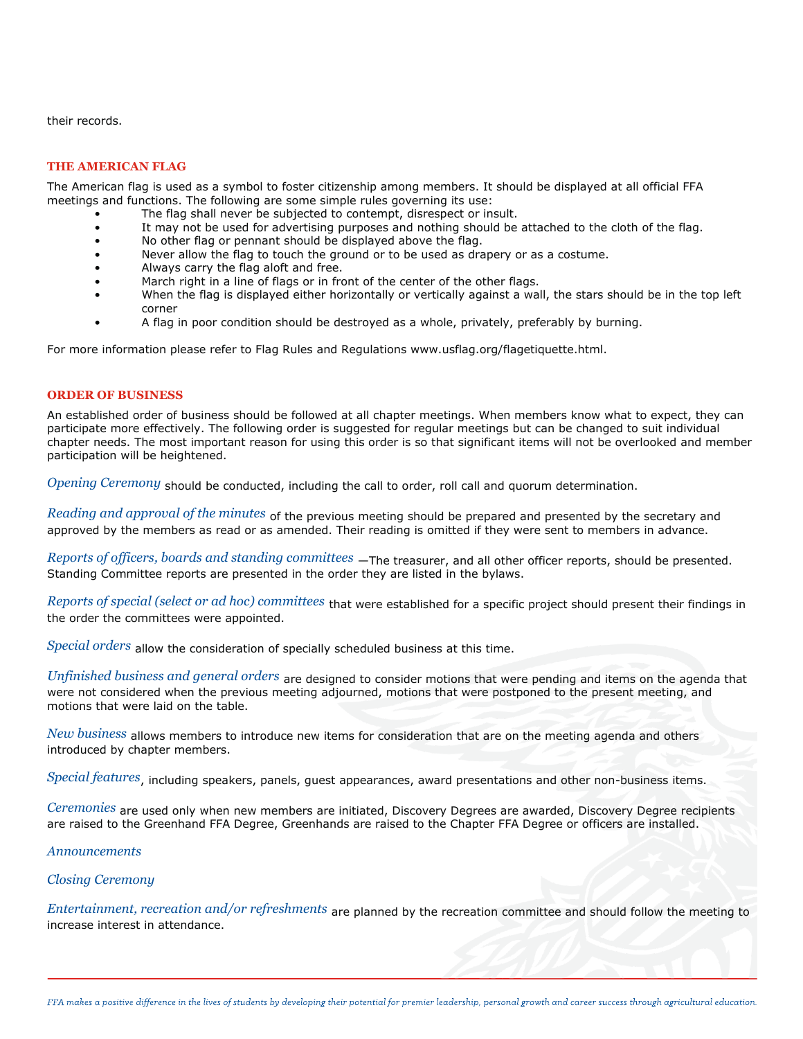their records.

### **THE AMERICAN FLAG**

The American flag is used as a symbol to foster citizenship among members. It should be displayed at all official FFA meetings and functions. The following are some simple rules governing its use:

- The flag shall never be subjected to contempt, disrespect or insult.
- It may not be used for advertising purposes and nothing should be attached to the cloth of the flag.
- No other flag or pennant should be displayed above the flag.
- Never allow the flag to touch the ground or to be used as drapery or as a costume.
- Always carry the flag aloft and free.
- March right in a line of flags or in front of the center of the other flags.
- When the flag is displayed either horizontally or vertically against a wall, the stars should be in the top left corner
	- A flag in poor condition should be destroyed as a whole, privately, preferably by burning.

For more information please refer to Flag Rules and Regulations www.usflag.org/flagetiquette.html.

#### **ORDER OF BUSINESS**

An established order of business should be followed at all chapter meetings. When members know what to expect, they can participate more effectively. The following order is suggested for regular meetings but can be changed to suit individual chapter needs. The most important reason for using this order is so that significant items will not be overlooked and member participation will be heightened.

*Opening Ceremony* should be conducted, including the call to order, roll call and quorum determination.

*Reading and approval of the minutes* of the previous meeting should be prepared and presented by the secretary and approved by the members as read or as amended. Their reading is omitted if they were sent to members in advance.

*Reports of officers, boards and standing committees* —The treasurer, and all other officer reports, should be presented. Standing Committee reports are presented in the order they are listed in the bylaws.

*Reports of special (select or ad hoc) committees* that were established for a specific project should present their findings in the order the committees were appointed.

*Special orders* allow the consideration of specially scheduled business at this time.

*Unfinished business and general orders* are designed to consider motions that were pending and items on the agenda that were not considered when the previous meeting adjourned, motions that were postponed to the present meeting, and motions that were laid on the table.

*New business* allows members to introduce new items for consideration that are on the meeting agenda and others introduced by chapter members.

*Special features*, including speakers, panels, guest appearances, award presentations and other non-business items.

*Ceremonies* are used only when new members are initiated, Discovery Degrees are awarded, Discovery Degree recipients are raised to the Greenhand FFA Degree, Greenhands are raised to the Chapter FFA Degree or officers are installed.

*Announcements*

## *Closing Ceremony*

*Entertainment, recreation and/or refreshments* are planned by the recreation committee and should follow the meeting to increase interest in attendance.